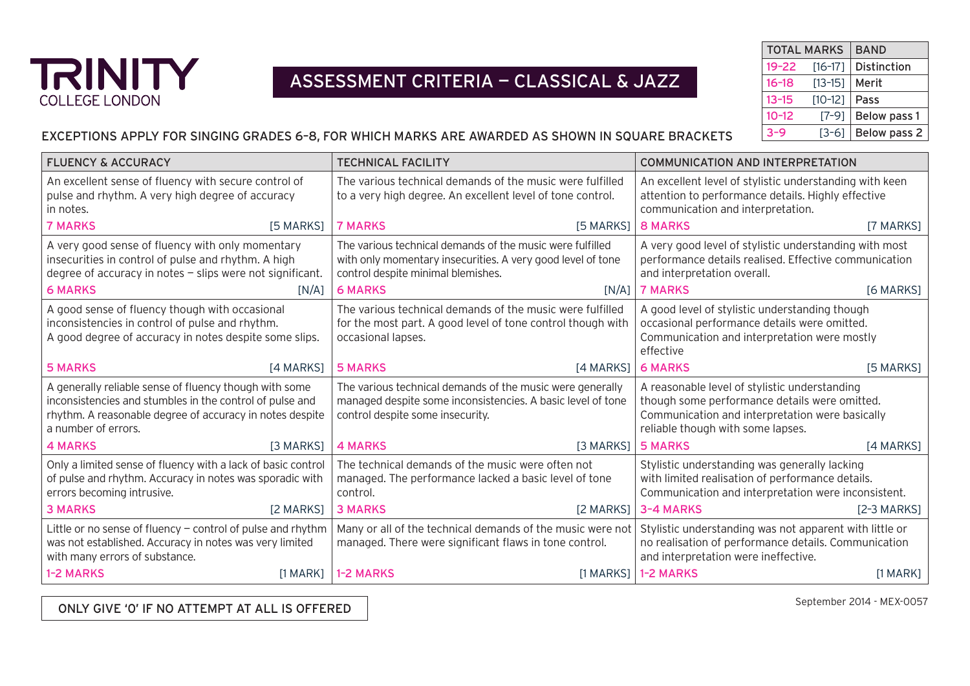

### ASSESSMENT CRITERIA — CLASSICAL & JAZZ

|           | <b>TOTAL MARKS</b> | <b>BAND</b>  |
|-----------|--------------------|--------------|
| $19 - 22$ | $[16-17]$          | Distinction  |
| $16 - 18$ | $[13-15]$          | Merit        |
| $13 - 15$ | $[10-12]$          | Pass         |
| $10 - 12$ | $[7-9]$            | Below pass 1 |
| $3 - 9$   | [3-6]              | Below pass 2 |
|           |                    |              |

#### EXCEPTIONS APPLY FOR SINGING GRADES 6–8, FOR WHICH MARKS ARE AWARDED AS SHOWN IN SQUARE BRACKETS

| <b>FLUENCY &amp; ACCURACY</b>                                                                                                                                                                         | <b>TECHNICAL FACILITY</b>                                                                                                                                    | <b>COMMUNICATION AND INTERPRETATION</b>                                                                                                                                                |  |
|-------------------------------------------------------------------------------------------------------------------------------------------------------------------------------------------------------|--------------------------------------------------------------------------------------------------------------------------------------------------------------|----------------------------------------------------------------------------------------------------------------------------------------------------------------------------------------|--|
| An excellent sense of fluency with secure control of<br>pulse and rhythm. A very high degree of accuracy<br>in notes.                                                                                 | The various technical demands of the music were fulfilled<br>to a very high degree. An excellent level of tone control.                                      | An excellent level of stylistic understanding with keen<br>attention to performance details. Highly effective<br>communication and interpretation.                                     |  |
| <b>7 MARKS</b>                                                                                                                                                                                        | <b>7 MARKS</b>                                                                                                                                               | 8 MARKS                                                                                                                                                                                |  |
| [5 MARKS]                                                                                                                                                                                             | $[5$ MARKS]                                                                                                                                                  | [7 MARKS]                                                                                                                                                                              |  |
| A very good sense of fluency with only momentary                                                                                                                                                      | The various technical demands of the music were fulfilled                                                                                                    | A very good level of stylistic understanding with most                                                                                                                                 |  |
| insecurities in control of pulse and rhythm. A high                                                                                                                                                   | with only momentary insecurities. A very good level of tone                                                                                                  | performance details realised. Effective communication                                                                                                                                  |  |
| degree of accuracy in notes $-$ slips were not significant.                                                                                                                                           | control despite minimal blemishes.                                                                                                                           | and interpretation overall.                                                                                                                                                            |  |
| <b>6 MARKS</b>                                                                                                                                                                                        | <b>6 MARKS</b>                                                                                                                                               | <b>7 MARKS</b>                                                                                                                                                                         |  |
| [N/A]                                                                                                                                                                                                 | $IN/A$ ]                                                                                                                                                     | [6 MARKS]                                                                                                                                                                              |  |
| A good sense of fluency though with occasional<br>inconsistencies in control of pulse and rhythm.<br>A good degree of accuracy in notes despite some slips.                                           | The various technical demands of the music were fulfilled<br>for the most part. A good level of tone control though with<br>occasional lapses.               | A good level of stylistic understanding though<br>occasional performance details were omitted.<br>Communication and interpretation were mostly<br>effective                            |  |
| <b>5 MARKS</b>                                                                                                                                                                                        | <b>5 MARKS</b>                                                                                                                                               | <b>6 MARKS</b>                                                                                                                                                                         |  |
| [4 MARKS]                                                                                                                                                                                             | [4 MARKS]                                                                                                                                                    | [5 MARKS]                                                                                                                                                                              |  |
| A generally reliable sense of fluency though with some<br>inconsistencies and stumbles in the control of pulse and<br>rhythm. A reasonable degree of accuracy in notes despite<br>a number of errors. | The various technical demands of the music were generally<br>managed despite some inconsistencies. A basic level of tone<br>control despite some insecurity. | A reasonable level of stylistic understanding<br>though some performance details were omitted.<br>Communication and interpretation were basically<br>reliable though with some lapses. |  |
| <b>4 MARKS</b>                                                                                                                                                                                        | <b>4 MARKS</b>                                                                                                                                               | <b>5 MARKS</b>                                                                                                                                                                         |  |
| [3 MARKS]                                                                                                                                                                                             | $[3$ MARKS]                                                                                                                                                  | [4 MARKS]                                                                                                                                                                              |  |
| Only a limited sense of fluency with a lack of basic control                                                                                                                                          | The technical demands of the music were often not                                                                                                            | Stylistic understanding was generally lacking                                                                                                                                          |  |
| of pulse and rhythm. Accuracy in notes was sporadic with                                                                                                                                              | managed. The performance lacked a basic level of tone                                                                                                        | with limited realisation of performance details.                                                                                                                                       |  |
| errors becoming intrusive.                                                                                                                                                                            | control.                                                                                                                                                     | Communication and interpretation were inconsistent.                                                                                                                                    |  |
| <b>3 MARKS</b>                                                                                                                                                                                        | <b>3 MARKS</b>                                                                                                                                               | 3-4 MARKS                                                                                                                                                                              |  |
| [2 MARKS]                                                                                                                                                                                             | $[2$ MARKS]                                                                                                                                                  | $[2-3$ MARKS]                                                                                                                                                                          |  |
| Little or no sense of fluency $-$ control of pulse and rhythm<br>was not established. Accuracy in notes was very limited<br>with many errors of substance.                                            | Many or all of the technical demands of the music were not<br>managed. There were significant flaws in tone control.                                         | Stylistic understanding was not apparent with little or<br>no realisation of performance details. Communication<br>and interpretation were ineffective.                                |  |
| 1-2 MARKS                                                                                                                                                                                             | $[1$ MARKS $]$                                                                                                                                               | <b>1-2 MARKS</b>                                                                                                                                                                       |  |
| [1 MARK]                                                                                                                                                                                              | <b>1-2 MARKS</b>                                                                                                                                             | $[1$ MARK]                                                                                                                                                                             |  |

ONLY GIVE '0' IF NO ATTEMPT AT ALL IS OFFERED

September 2014 - MEX-0057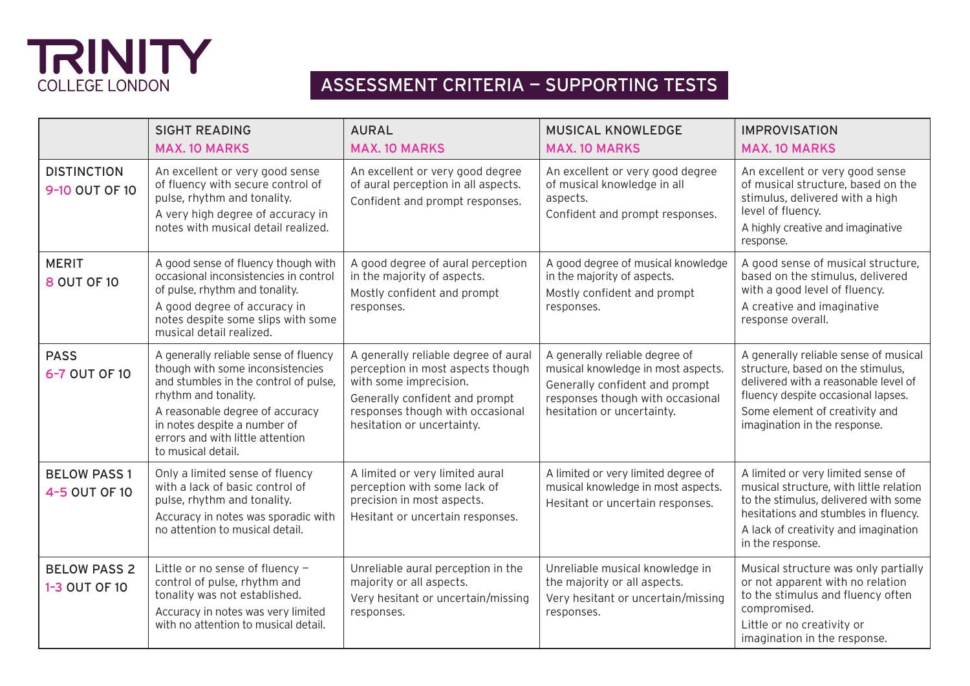# TRINITY COLLEGE LONDON

## ASSESSMENT CRITERIA — SUPPORTING TESTS

|                                      | <b>SIGHT READING</b>                                                                                                                                                                                                                                                    | <b>AURAL</b>                                                                                                                                                                                            | <b>MUSICAL KNOWLEDGE</b>                                                                                                                                                 | <b>IMPROVISATION</b>                                                                                                                                                                                                       |
|--------------------------------------|-------------------------------------------------------------------------------------------------------------------------------------------------------------------------------------------------------------------------------------------------------------------------|---------------------------------------------------------------------------------------------------------------------------------------------------------------------------------------------------------|--------------------------------------------------------------------------------------------------------------------------------------------------------------------------|----------------------------------------------------------------------------------------------------------------------------------------------------------------------------------------------------------------------------|
|                                      | <b>MAX. 10 MARKS</b>                                                                                                                                                                                                                                                    | <b>MAX. 10 MARKS</b>                                                                                                                                                                                    | <b>MAX. 10 MARKS</b>                                                                                                                                                     | <b>MAX. 10 MARKS</b>                                                                                                                                                                                                       |
| <b>DISTINCTION</b><br>9-10 OUT OF 10 | An excellent or very good sense<br>of fluency with secure control of<br>pulse, rhythm and tonality.<br>A very high degree of accuracy in<br>notes with musical detail realized.                                                                                         | An excellent or very good degree<br>of aural perception in all aspects.<br>Confident and prompt responses.                                                                                              | An excellent or very good degree<br>of musical knowledge in all<br>aspects.<br>Confident and prompt responses.                                                           | An excellent or very good sense<br>of musical structure, based on the<br>stimulus, delivered with a high<br>level of fluency.<br>A highly creative and imaginative<br>response.                                            |
| <b>MERIT</b><br>8 OUT OF 10          | A good sense of fluency though with<br>occasional inconsistencies in control<br>of pulse, rhythm and tonality.<br>A good degree of accuracy in<br>notes despite some slips with some<br>musical detail realized.                                                        | A good degree of aural perception<br>in the majority of aspects.<br>Mostly confident and prompt<br>responses.                                                                                           | A good degree of musical knowledge<br>in the majority of aspects.<br>Mostly confident and prompt<br>responses.                                                           | A good sense of musical structure,<br>based on the stimulus, delivered<br>with a good level of fluency.<br>A creative and imaginative<br>response overall.                                                                 |
| <b>PASS</b><br>6-7 OUT OF 10         | A generally reliable sense of fluency<br>though with some inconsistencies<br>and stumbles in the control of pulse,<br>rhythm and tonality.<br>A reasonable degree of accuracy<br>in notes despite a number of<br>errors and with little attention<br>to musical detail. | A generally reliable degree of aural<br>perception in most aspects though<br>with some imprecision.<br>Generally confident and prompt<br>responses though with occasional<br>hesitation or uncertainty. | A generally reliable degree of<br>musical knowledge in most aspects.<br>Generally confident and prompt<br>responses though with occasional<br>hesitation or uncertainty. | A generally reliable sense of musical<br>structure, based on the stimulus,<br>delivered with a reasonable level of<br>fluency despite occasional lapses.<br>Some element of creativity and<br>imagination in the response. |
| <b>BELOW PASS 1</b><br>4-5 OUT OF 10 | Only a limited sense of fluency<br>with a lack of basic control of<br>pulse, rhythm and tonality.<br>Accuracy in notes was sporadic with<br>no attention to musical detail.                                                                                             | A limited or very limited aural<br>perception with some lack of<br>precision in most aspects.<br>Hesitant or uncertain responses.                                                                       | A limited or very limited degree of<br>musical knowledge in most aspects.<br>Hesitant or uncertain responses.                                                            | A limited or very limited sense of<br>musical structure, with little relation<br>to the stimulus, delivered with some<br>hesitations and stumbles in fluency.<br>A lack of creativity and imagination<br>in the response.  |
| <b>BELOW PASS 2</b><br>1-3 OUT OF 10 | Little or no sense of fluency -<br>control of pulse, rhythm and<br>tonality was not established.<br>Accuracy in notes was very limited<br>with no attention to musical detail.                                                                                          | Unreliable aural perception in the<br>majority or all aspects.<br>Very hesitant or uncertain/missing<br>responses.                                                                                      | Unreliable musical knowledge in<br>the majority or all aspects.<br>Very hesitant or uncertain/missing<br>responses.                                                      | Musical structure was only partially<br>or not apparent with no relation<br>to the stimulus and fluency often<br>compromised.<br>Little or no creativity or<br>imagination in the response.                                |